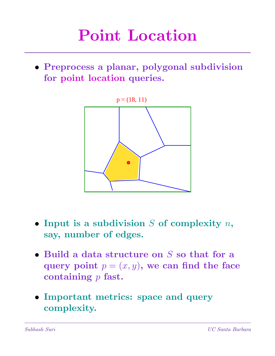• Preprocess a planar, polygonal subdivision for point location queries.



- Input is a subdivision  $S$  of complexity  $n$ , say, number of edges.
- Build a data structure on  $S$  so that for a query point  $p = (x, y)$ , we can find the face containing  $p$  fast.
- Important metrics: space and query complexity.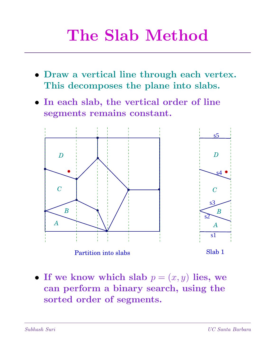## The Slab Method

- Draw a vertical line through each vertex. This decomposes the plane into slabs.
- In each slab, the vertical order of line segments remains constant.



• If we know which slab  $p = (x, y)$  lies, we can perform a binary search, using the sorted order of segments.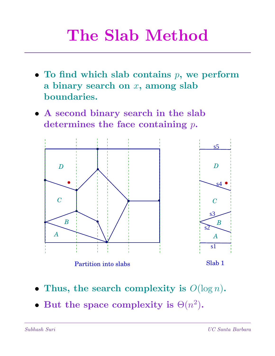### The Slab Method

- To find which slab contains  $p$ , we perform a binary search on  $x$ , among slab boundaries.
- A second binary search in the slab determines the face containing  $p$ .



- Thus, the search complexity is  $O(\log n)$ .
- But the space complexity is  $\Theta(n^2)$ .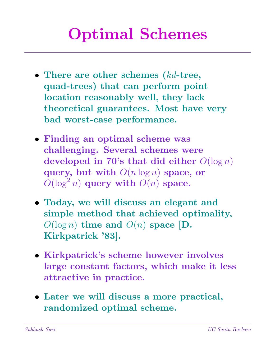## Optimal Schemes

- There are other schemes (kd-tree, quad-trees) that can perform point location reasonably well, they lack theoretical guarantees. Most have very bad worst-case performance.
- Finding an optimal scheme was challenging. Several schemes were developed in 70's that did either  $O(\log n)$ query, but with  $O(n \log n)$  space, or  $O(\log^2 n)$  query with  $O(n)$  space.
- Today, we will discuss an elegant and simple method that achieved optimality,  $O(\log n)$  time and  $O(n)$  space [D. Kirkpatrick '83].
- Kirkpatrick's scheme however involves large constant factors, which make it less attractive in practice.
- Later we will discuss a more practical, randomized optimal scheme.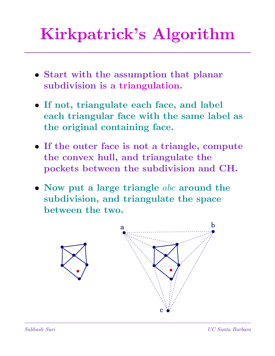# Kirkpatrick's Algorithm

- Start with the assumption that planar subdivision is a triangulation.
- If not, triangulate each face, and label each triangular face with the same label as the original containing face.
- If the outer face is not a triangle, compute the convex hull, and triangulate the pockets between the subdivision and CH.
- Now put a large triangle  $abc$  around the subdivision, and triangulate the space between the two.

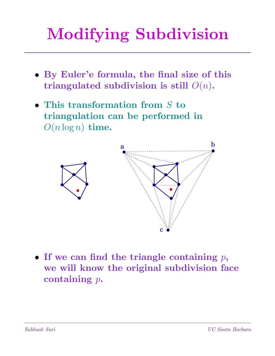# Modifying Subdivision

- By Euler'e formula, the final size of this triangulated subdivision is still  $O(n)$ .
- This transformation from  $S$  to triangulation can be performed in  $O(n \log n)$  time.



• If we can find the triangle containing  $p$ , we will know the original subdivision face containing  $p$ .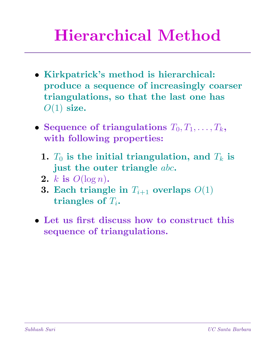## Hierarchical Method

- Kirkpatrick's method is hierarchical: produce a sequence of increasingly coarser triangulations, so that the last one has  $O(1)$  size.
- Sequence of triangulations  $T_0, T_1, \ldots, T_k$ , with following properties:
	- 1.  $T_0$  is the initial triangulation, and  $T_k$  is just the outer triangle abc.
	- 2. k is  $O(\log n)$ .
	- **3. Each triangle in**  $T_{i+1}$  overlaps  $O(1)$ triangles of  $T_i$ .
- Let us first discuss how to construct this sequence of triangulations.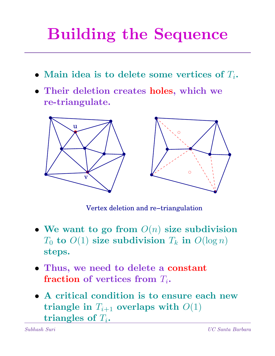# Building the Sequence

- Main idea is to delete some vertices of  $T_i$ .
- Their deletion creates holes, which we re-triangulate.



Vertex deletion and re−triangulation

- We want to go from  $O(n)$  size subdivision  $T_0$  to  $O(1)$  size subdivision  $T_k$  in  $O(\log n)$ steps.
- Thus, we need to delete a constant fraction of vertices from  $T_i$ .
- A critical condition is to ensure each new triangle in  $T_{i+1}$  overlaps with  $O(1)$ triangles of  $T_i$ .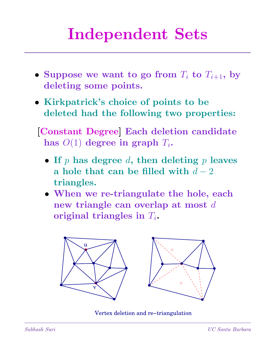## Independent Sets

- Suppose we want to go from  $T_i$  to  $T_{i+1}$ , by deleting some points.
- Kirkpatrick's choice of points to be deleted had the following two properties:
- [Constant Degree] Each deletion candidate has  $O(1)$  degree in graph  $T_i$ .
	- If  $p$  has degree  $d$ , then deleting  $p$  leaves a hole that can be filled with  $d-2$ triangles.
	- When we re-triangulate the hole, each new triangle can overlap at most d original triangles in  $T_i$ .



Vertex deletion and re−triangulation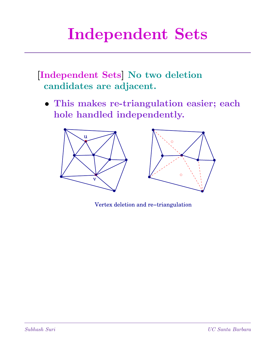# Independent Sets

[Independent Sets] No two deletion candidates are adjacent.

• This makes re-triangulation easier; each hole handled independently.



Vertex deletion and re−triangulation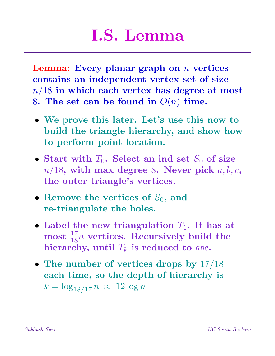### I.S. Lemma

Lemma: Every planar graph on  $n$  vertices contains an independent vertex set of size  $n/18$  in which each vertex has degree at most 8. The set can be found in  $O(n)$  time.

- We prove this later. Let's use this now to build the triangle hierarchy, and show how to perform point location.
- Start with  $T_0$ . Select an ind set  $S_0$  of size  $n/18$ , with max degree 8. Never pick  $a, b, c$ , the outer triangle's vertices.
- Remove the vertices of  $S_0$ , and re-triangulate the holes.
- Label the new triangulation  $T_1$ . It has at most  $\frac{17}{18}n$  vertices. Recursively build the hierarchy, until  $T_k$  is reduced to abc.
- The number of vertices drops by  $17/18$ each time, so the depth of hierarchy is  $k = \log_{18/17} n \approx 12 \log n$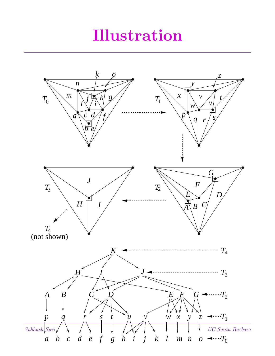#### Illustration

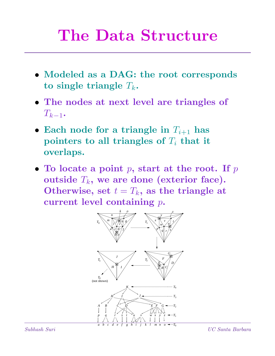#### The Data Structure

- Modeled as a DAG: the root corresponds to single triangle  $T_k$ .
- The nodes at next level are triangles of  $T_{k-1}$ .
- Each node for a triangle in  $T_{i+1}$  has pointers to all triangles of  $T_i$  that it overlaps.
- To locate a point  $p$ , start at the root. If  $p$ outside  $T_k$ , we are done (exterior face). Otherwise, set  $t = T_k$ , as the triangle at current level containing p.



Subhash Suri UC Santa Barbara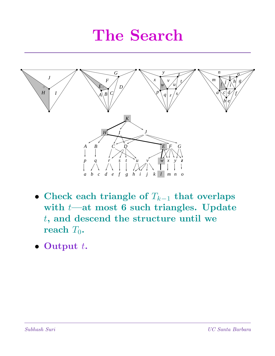#### The Search



- Check each triangle of  $T_{k-1}$  that overlaps with  $t$ —at most 6 such triangles. Update t, and descend the structure until we reach  $T_0$ .
- Output  $t$ .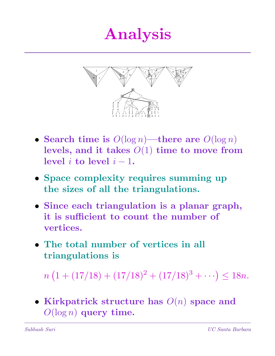#### Analysis



- Search time is  $O(\log n)$ —there are  $O(\log n)$ levels, and it takes  $O(1)$  time to move from level  $i$  to level  $i - 1$ .
- Space complexity requires summing up the sizes of all the triangulations.
- Since each triangulation is a planar graph, it is sufficient to count the number of vertices.
- The total number of vertices in all triangulations is

```
\overline{n}(1 + (17/18) + (17/18)^2 + (17/18)^3 + \cdots) \le 18n.
```
• Kirkpatrick structure has  $O(n)$  space and  $O(\log n)$  query time.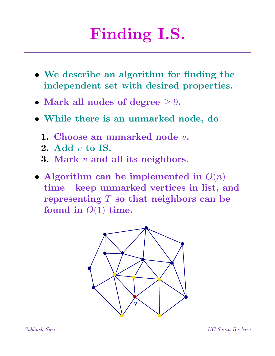# Finding I.S.

- We describe an algorithm for finding the independent set with desired properties.
- Mark all nodes of degree  $\geq 9$ .
- While there is an unmarked node, do
	- 1. Choose an unmarked node  $v$ .
	- 2. Add  $v$  to IS.
	- 3. Mark  $v$  and all its neighbors.
- Algorithm can be implemented in  $O(n)$ time—keep unmarked vertices in list, and representing  $T$  so that neighbors can be found in  $O(1)$  time.

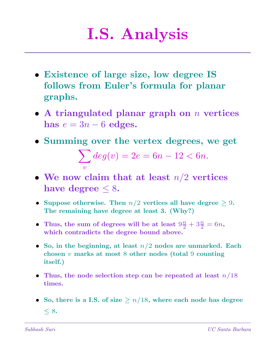## I.S. Analysis

- Existence of large size, low degree IS follows from Euler's formula for planar graphs.
- A triangulated planar graph on  $n$  vertices has  $e = 3n - 6$  edges.
- Summing over the vertex degrees, we get  $\mathbf{H}$

$$
\sum_{v} deg(v) = 2e = 6n - 12 < 6n.
$$

- We now claim that at least  $n/2$  vertices have degree  $\leq 8$ .
- Suppose otherwise. Then  $n/2$  vertices all have degree  $\geq 9$ . The remaining have degree at least 3. (Why?)
- Thus, the sum of degrees will be at least  $9\frac{n}{2} + 3\frac{n}{2} = 6n$ , which contradicts the degree bound above.
- So, in the beginning, at least  $n/2$  nodes are unmarked. Each chosen v marks at most 8 other nodes (total 9 counting itself.)
- Thus, the node selection step can be repeated at least  $n/18$ times.
- So, there is a I.S. of size  $\geq n/18$ , where each node has degree  $< 8.$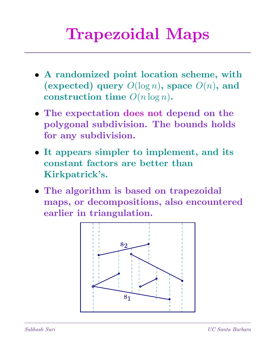## Trapezoidal Maps

- A randomized point location scheme, with (expected) query  $O(\log n)$ , space  $O(n)$ , and construction time  $O(n \log n)$ .
- The expectation does not depend on the polygonal subdivision. The bounds holds for any subdivision.
- It appears simpler to implement, and its constant factors are better than Kirkpatrick's.
- The algorithm is based on trapezoidal maps, or decompositions, also encountered earlier in triangulation.

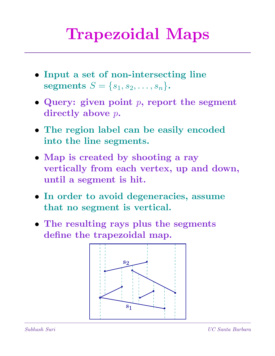## Trapezoidal Maps

- Input a set of non-intersecting line segments  $S = \{s_1, s_2, \ldots, s_n\}.$
- Query: given point  $p$ , report the segment directly above p.
- The region label can be easily encoded into the line segments.
- Map is created by shooting a ray vertically from each vertex, up and down, until a segment is hit.
- In order to avoid degeneracies, assume that no segment is vertical.
- The resulting rays plus the segments define the trapezoidal map.

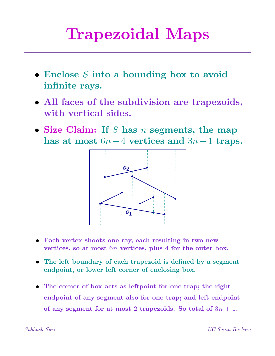## Trapezoidal Maps

- Enclose S into a bounding box to avoid infinite rays.
- All faces of the subdivision are trapezoids, with vertical sides.
- Size Claim: If S has  $n$  segments, the map has at most  $6n+4$  vertices and  $3n+1$  traps.



- Each vertex shoots one ray, each resulting in two new vertices, so at most 6n vertices, plus 4 for the outer box.
- The left boundary of each trapezoid is defined by a segment endpoint, or lower left corner of enclosing box.
- The corner of box acts as leftpoint for one trap; the right endpoint of any segment also for one trap; and left endpoint of any segment for at most 2 trapezoids. So total of  $3n + 1$ .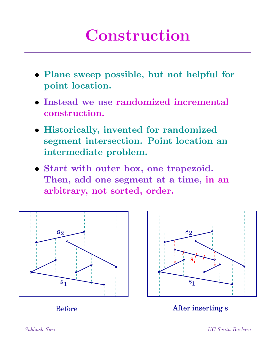#### Construction

- Plane sweep possible, but not helpful for point location.
- Instead we use randomized incremental construction.
- Historically, invented for randomized segment intersection. Point location an intermediate problem.
- Start with outer box, one trapezoid. Then, add one segment at a time, in an arbitrary, not sorted, order.



Before After inserting s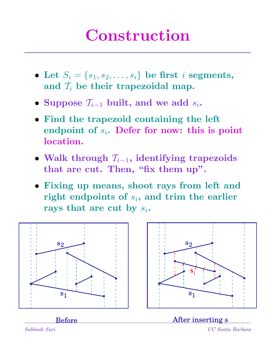### Construction

- Let  $S_i = \{s_1, s_2, \ldots, s_i\}$  be first *i* segments, and  $\mathcal{T}_i$  be their trapezoidal map.
- Suppose  $\mathcal{T}_{i-1}$  built, and we add  $s_i$ .
- Find the trapezoid containing the left endpoint of  $s_i$ . Defer for now: this is point location.
- Walk through  $\mathcal{T}_{i-1}$ , identifying trapezoids that are cut. Then, "fix them up".
- Fixing up means, shoot rays from left and right endpoints of  $s_i$ , and trim the earlier rays that are cut by  $s_i$ .

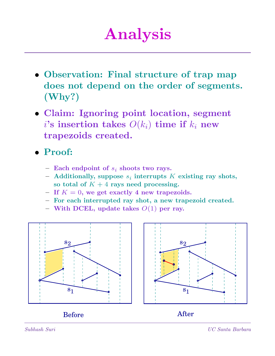### Analysis

- Observation: Final structure of trap map does not depend on the order of segments. (Why?)
- Claim: Ignoring point location, segment i's insertion takes  $O(k_i)$  time if  $k_i$  new trapezoids created.
- Proof:
	- Each endpoint of  $s_i$  shoots two rays.
	- $-$  Additionally, suppose  $s_i$  interrupts K existing ray shots, so total of  $K + 4$  rays need processing.
	- If  $K = 0$ , we get exactly 4 new trapezoids.
	- For each interrupted ray shot, a new trapezoid created.
	- With DCEL, update takes  $O(1)$  per ray.



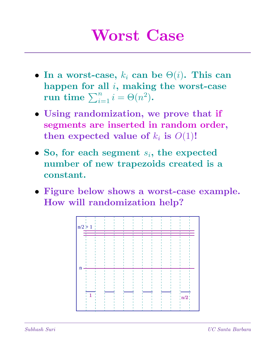#### Worst Case

- In a worst-case,  $k_i$  can be  $\Theta(i)$ . This can happen for all  $i$ , making the worst-case nappen for an  $i$ , making<br>run time  $\sum_{i=1}^n i = \Theta(n^2)$ .
- Using randomization, we prove that if segments are inserted in random order, then expected value of  $k_i$  is  $O(1)!$
- So, for each segment  $s_i$ , the expected number of new trapezoids created is a constant.
- Figure below shows a worst-case example. How will randomization help?

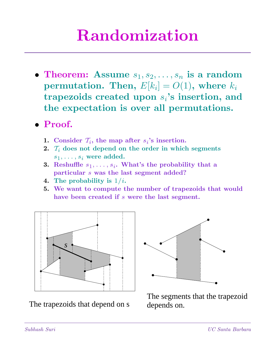### Randomization

- Theorem: Assume  $s_1, s_2, \ldots, s_n$  is a random  $\textbf{permutation. Then, } E[k_i] = O(1), \textbf{ where } k_i$ trapezoids created upon  $s_i$ 's insertion, and the expectation is over all permutations.
- Proof.
	- 1. Consider  $\mathcal{T}_i$ , the map after  $s_i$ 's insertion.
	- 2.  $\mathcal{T}_i$  does not depend on the order in which segments  $s_1, \ldots, s_i$  were added.
	- **3.** Reshuffle  $s_1, \ldots, s_i$ . What's the probability that a particular s was the last segment added?
	- 4. The probability is  $1/i$ .
	- 5. We want to compute the number of trapezoids that would have been created if s were the last segment.



The trapezoids that depend on s



The segments that the trapezoid depends on.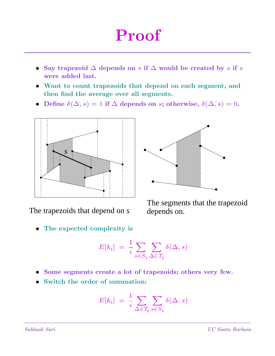### Proof

- Say trapezoid  $\Delta$  depends on s if  $\Delta$  would be created by s if s were added last.
- Want to count trapezoids that depend on each segment, and then find the average over all segments.
- Define  $\delta(\Delta, s) = 1$  if  $\Delta$  depends on s; otherwise,  $\delta(\Delta, s) = 0$ .



The trapezoids that depend on s

The expected complexity is



The segments that the trapezoid depends on.

$$
E[k_i] = \frac{1}{i} \sum_{s \in S_i} \sum_{\Delta \in T_i} \delta(\Delta, s)
$$

- Some segments create a lot of trapezoids; others very few.
- Switch the order of summation:

$$
E[k_i] = \frac{1}{i} \sum_{\Delta \in \mathcal{T}_i} \sum_{s \in S_i} \delta(\Delta, s)
$$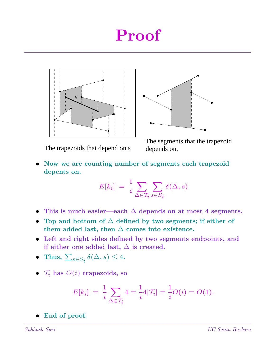#### Proof





The trapezoids that depend on s

The segments that the trapezoid depends on.

• Now we are counting number of segments each trapezoid depents on.

$$
E[k_i] = \frac{1}{i} \sum_{\Delta \in \mathcal{T}_i} \sum_{s \in S_i} \delta(\Delta, s)
$$

- This is much easier—each  $\Delta$  depends on at most 4 segments.
- Top and bottom of  $\Delta$  defined by two segments; if either of them added last, then  $\Delta$  comes into existence.
- Left and right sides defined by two segments endpoints, and if either one added last,  $\Delta$  is created.
- Thus,  $\sum_{s \in S_i} \delta(\Delta, s) \leq 4$ .
- $\mathcal{T}_i$  has  $O(i)$  trapezoids, so

$$
E[k_i] = \frac{1}{i} \sum_{\Delta \in \mathcal{T}_i} 4 = \frac{1}{i} 4|\mathcal{T}_i| = \frac{1}{i} O(i) = O(1).
$$

• End of proof.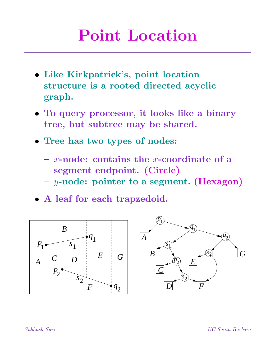#### Point Location

- Like Kirkpatrick's, point location structure is a rooted directed acyclic graph.
- To query processor, it looks like a binary tree, but subtree may be shared.
- Tree has two types of nodes:
	- $x$ -node: contains the x-coordinate of a segment endpoint. (Circle)
	- $-$  y-node: pointer to a segment. (Hexagon)
- A leaf for each trapzedoid.

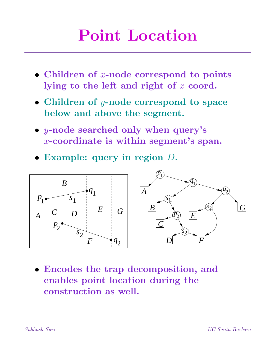### Point Location

- Children of  $x$ -node correspond to points lying to the left and right of  $x$  coord.
- Children of y-node correspond to space below and above the segment.
- y-node searched only when query's  $x$ -coordinate is within segment's span.
- Example: query in region D.



• Encodes the trap decomposition, and enables point location during the construction as well.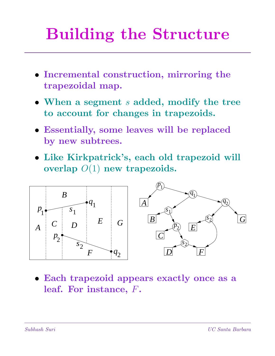# Building the Structure

- Incremental construction, mirroring the trapezoidal map.
- When a segment s added, modify the tree to account for changes in trapezoids.
- Essentially, some leaves will be replaced by new subtrees.
- Like Kirkpatrick's, each old trapezoid will overlap  $O(1)$  new trapezoids.



• Each trapezoid appears exactly once as a leaf. For instance, F.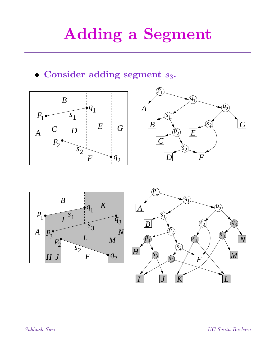## Adding a Segment

• Consider adding segment  $s_3$ .







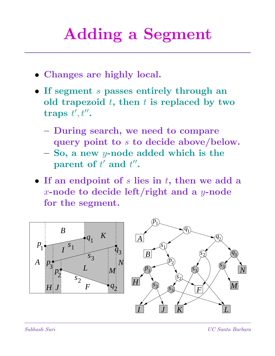## Adding a Segment

- Changes are highly local.
- If segment s passes entirely through an old trapezoid  $t$ , then  $t$  is replaced by two traps  $t', t''$ .
	- During search, we need to compare query point to s to decide above/below.
	- So, a new y-node added which is the parent of  $t'$  and  $t''$ .
- If an endpoint of  $s$  lies in  $t$ , then we add a x-node to decide left/right and a  $y$ -node for the segment.

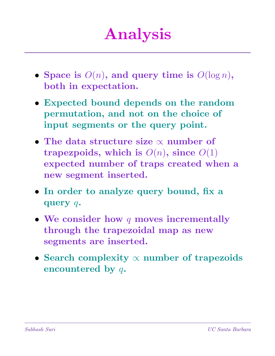## Analysis

- Space is  $O(n)$ , and query time is  $O(\log n)$ , both in expectation.
- Expected bound depends on the random permutation, and not on the choice of input segments or the query point.
- The data structure size ∝ number of trapezpoids, which is  $O(n)$ , since  $O(1)$ expected number of traps created when a new segment inserted.
- In order to analyze query bound, fix a query q.
- We consider how  $q$  moves incrementally through the trapezoidal map as new segments are inserted.
- Search complexity  $\propto$  number of trapezoids encountered by q.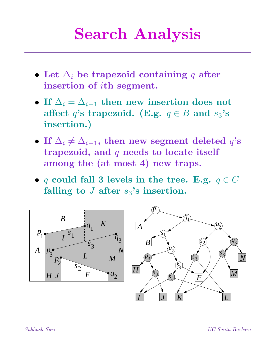### Search Analysis

- Let  $\Delta_i$  be trapezoid containing q after insertion of ith segment.
- If  $\Delta_i = \Delta_{i-1}$  then new insertion does not affect q's trapezoid. (E.g.  $q \in B$  and  $s_3$ 's insertion.)
- If  $\Delta_i \neq \Delta_{i-1}$ , then new segment deleted  $q$ 's trapezoid, and  $q$  needs to locate itself among the (at most 4) new traps.
- q could fall 3 levels in the tree. E.g.  $q \in C$ falling to  $J$  after  $s_3$ 's insertion.

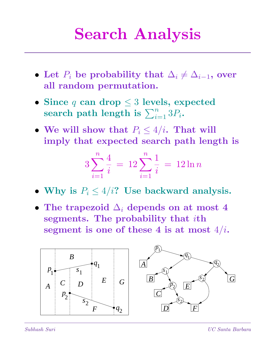### Search Analysis

- Let  $P_i$  be probability that  $\Delta_i \neq \Delta_{i-1}$ , over all random permutation.
- Since q can drop  $\leq 3$  levels, expected since  $q$  can drop  $\leq$  5 levels, ex search path length is  $\sum_{i=1}^n 3P_i$ .
- We will show that  $P_i \leq 4/i$ . That will imply that expected search path length is

$$
3\sum_{i=1}^{n} \frac{4}{i} = 12\sum_{i=1}^{n} \frac{1}{i} = 12\ln n
$$

- Why is  $P_i \leq 4/i$ ? Use backward analysis.
- The trapezoid  $\Delta_i$  depends on at most 4 segments. The probability that ith segment is one of these 4 is at most  $4/i$ .